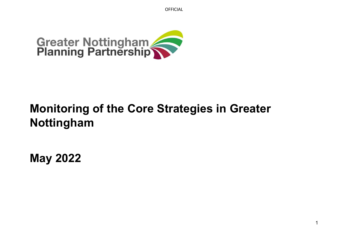

# Monitoring of the Core Strategies in Greater Nottingham

May 2022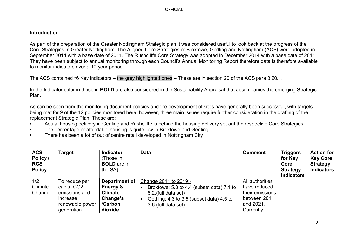#### Introduction

As part of the preparation of the Greater Nottingham Strategic plan it was considered useful to look back at the progress of the Core Strategies in Greater Nottingham. The Aligned Core Strategies of Broxtowe, Gedling and Nottingham (ACS) were adopted in September 2014 with a base date of 2011. The Rushcliffe Core Strategy was adopted in December 2014 with a base date of 2011. They have been subject to annual monitoring through each Council's Annual Monitoring Report therefore data is therefore available to monitor indicators over a 10 year period.

The ACS contained \*6 Key indicators – the grey highlighted ones – These are in section 20 of the ACS para 3.20.1.

In the Indicator column those in **BOLD** are also considered in the Sustainability Appraisal that accompanies the emerging Strategic Plan.

As can be seen from the monitoring document policies and the development of sites have generally been successful, with targets being met for 9 of the 12 policies monitored here. however, three main issues require further consideration in the drafting of the replacement Strategic Plan. These are:

- Actual housing delivery in Gedling and Rushcliffe is behind the housing delivery set out the respective Core Strategies
- The percentage of affordable housing is quite low in Broxtowe and Gedling
- There has been a lot of out of centre retail developed in Nottingham City

| <b>ACS</b><br>Policy /<br><b>RCS</b><br><b>Policy</b> | <b>Target</b>   | <b>Indicator</b><br>(Those in<br><b>BOLD</b> are in<br>the SA) | <b>Data</b>                               | <b>Comment</b>  | <b>Triggers</b><br>for Key<br>Core<br><b>Strategy</b><br><b>Indicators</b> | <b>Action for</b><br><b>Key Core</b><br><b>Strategy</b><br><b>Indicators</b> |
|-------------------------------------------------------|-----------------|----------------------------------------------------------------|-------------------------------------------|-----------------|----------------------------------------------------------------------------|------------------------------------------------------------------------------|
| 1/2                                                   | To reduce per   | <b>Department of</b>                                           | Change 2011 to 2019:-                     | All authorities |                                                                            |                                                                              |
| Climate                                               | capita CO2      | Energy &                                                       | Broxtowe: 5.3 to 4.4 (subset data) 7.1 to | have reduced    |                                                                            |                                                                              |
| Change                                                | emissions and   | <b>Climate</b>                                                 | 6.2.(full data set)                       | their emissions |                                                                            |                                                                              |
|                                                       | increase        | Change's                                                       | Gedling: 4.3 to 3.5 (subset data) 4.5 to  | between 2011    |                                                                            |                                                                              |
|                                                       | renewable power | <b>'Carbon</b>                                                 | 3.6.(full data set)                       | and 2021.       |                                                                            |                                                                              |
|                                                       | generation      | dioxide                                                        |                                           | Currently       |                                                                            |                                                                              |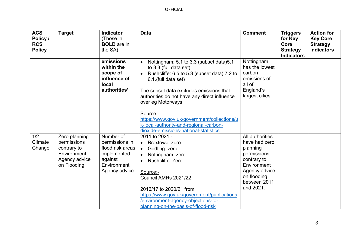| <b>ACS</b><br>Policy /<br><b>RCS</b><br><b>Policy</b> | <b>Target</b>                                                                              | <b>Indicator</b><br>(Those in<br><b>BOLD</b> are in<br>the SA)                                            | <b>Data</b>                                                                                                                                                                                                                                                                                                                                    | <b>Comment</b>                                                                                                                                         | <b>Triggers</b><br>for Key<br>Core<br><b>Strategy</b><br><b>Indicators</b> | <b>Action for</b><br><b>Key Core</b><br><b>Strategy</b><br><b>Indicators</b> |
|-------------------------------------------------------|--------------------------------------------------------------------------------------------|-----------------------------------------------------------------------------------------------------------|------------------------------------------------------------------------------------------------------------------------------------------------------------------------------------------------------------------------------------------------------------------------------------------------------------------------------------------------|--------------------------------------------------------------------------------------------------------------------------------------------------------|----------------------------------------------------------------------------|------------------------------------------------------------------------------|
|                                                       |                                                                                            | emissions<br>within the<br>scope of<br>influence of<br><b>local</b><br>authorities'                       | Nottingham: 5.1 to 3.3 (subset data) 5.1<br>to 3.3.(full data set)<br>Rushcliffe: 6.5 to 5.3 (subset data) 7.2 to<br>$\bullet$<br>6.1.(full data set)<br>The subset data excludes emissions that<br>authorities do not have any direct influence<br>over eg Motorways<br>Source:-<br>https://www.gov.uk/government/collections/u               | Nottingham<br>has the lowest<br>carbon<br>emissions of<br>all of<br>England's<br>largest cities.                                                       |                                                                            |                                                                              |
|                                                       |                                                                                            |                                                                                                           | k-local-authority-and-regional-carbon-<br>dioxide-emissions-national-statistics                                                                                                                                                                                                                                                                |                                                                                                                                                        |                                                                            |                                                                              |
| 1/2<br>Climate<br>Change                              | Zero planning<br>permissions<br>contrary to<br>Environment<br>Agency advice<br>on Flooding | Number of<br>permissions in<br>flood risk areas<br>implemented<br>against<br>Environment<br>Agency advice | 2011 to 2021:-<br>Broxtowe: zero<br>$\bullet$<br>Gedling: zero<br>$\bullet$<br>Nottingham: zero<br>$\bullet$<br><b>Rushcliffe: Zero</b><br>$\bullet$<br>Source:-<br>Council AMRs 2021/22<br>2016/17 to 2020/21 from<br>https://www.gov.uk/government/publications<br>/environment-agency-objections-to-<br>planning-on-the-basis-of-flood-risk | All authorities<br>have had zero<br>planning<br>permissions<br>contrary to<br>Environment<br>Agency advice<br>on flooding<br>between 2011<br>and 2021. |                                                                            |                                                                              |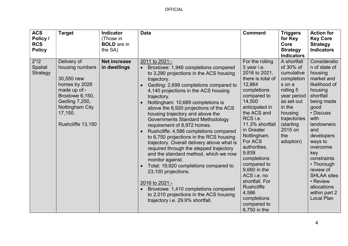| <b>ACS</b><br>Policy /<br><b>RCS</b><br><b>Policy</b> | <b>Target</b>                                                                                                                                                         | Indicator<br>(Those in<br><b>BOLD</b> are in<br>the SA) | <b>Data</b>                                                                                                                                                                                                                                                                                                                                                                                                                                                                                                                                                                                                                                                                                                                                                                                                                                                                                               | <b>Comment</b>                                                                                                                                                                                                                                                                                                                                                                                                     | <b>Triggers</b><br>for Key<br>Core<br><b>Strategy</b><br><b>Indicators</b>                                                                                                                | <b>Action for</b><br><b>Key Core</b><br><b>Strategy</b><br><b>Indicators</b>                                                                                                                                                                                                                                                          |
|-------------------------------------------------------|-----------------------------------------------------------------------------------------------------------------------------------------------------------------------|---------------------------------------------------------|-----------------------------------------------------------------------------------------------------------------------------------------------------------------------------------------------------------------------------------------------------------------------------------------------------------------------------------------------------------------------------------------------------------------------------------------------------------------------------------------------------------------------------------------------------------------------------------------------------------------------------------------------------------------------------------------------------------------------------------------------------------------------------------------------------------------------------------------------------------------------------------------------------------|--------------------------------------------------------------------------------------------------------------------------------------------------------------------------------------------------------------------------------------------------------------------------------------------------------------------------------------------------------------------------------------------------------------------|-------------------------------------------------------------------------------------------------------------------------------------------------------------------------------------------|---------------------------------------------------------------------------------------------------------------------------------------------------------------------------------------------------------------------------------------------------------------------------------------------------------------------------------------|
| $2^{*/2}$<br><b>Spatial</b><br>Strategy               | Delivery of<br>housing numbers<br>30,550 new<br>homes by 2028<br>made up of:-<br>Broxtowe 6,150,<br>Gedling 7,250,<br>Nottingham City<br>17,150.<br>Rushcliffe 13,150 | <b>Net increase</b><br>in dwellings                     | 2011 to 2021:-<br>Broxtowe: 1,946 completions compared<br>$\bullet$<br>to 3,290 projections in the ACS housing<br>trajectory.<br>Gedling: 2,699 completions compared to<br>4,140 projections in the ACS housing<br>trajectory.<br>Nottingham: 10,689 completions is<br>above the 8,920 projections of the ACS<br>housing trajectory and above the<br><b>Governments Standard Methodology</b><br>requirement of 8,972 homes.<br>Rushcliffe: 4,586 completions compared<br>$\bullet$<br>to 6,750 projections in the RCS housing<br>trajectory. Overall delivery above what is<br>required through the stepped trajectory<br>and the standard method, which we now<br>monitor against.<br>Total: 19,920 completions compared to<br>$\bullet$<br>23,100 projections.<br>2016 to 2021:-<br>Broxtowe: 1,410 completions compared<br>to 2,010 projections in the ACS housing<br>trajectory i.e. 29.9% shortfall. | For the rolling<br>5 year i.e.<br>2016 to 2021,<br>there is total of<br>12,864<br>completions<br>compared to<br>14,500<br>anticipated in<br>the ACS and<br>RCS i.e.<br>11.3% shortfall<br>in Greater<br>Nottingham.<br>For ACS<br>authorities,<br>9,839<br>completions<br>compared to<br>9,660 in the<br>ACS i.e. no<br>shortfall. For<br><b>Rushcliffe</b><br>4,586<br>completions<br>compared to<br>6,750 in the | A shortfall<br>of 30% of<br>cumulative<br>completion<br>s on a<br>rolling 5<br>year period<br>as set out<br>in the<br>housing<br>trajectories<br>(starting<br>2015 on<br>the<br>adoption) | Consideratio<br>n of state of<br>housing<br>market and<br>likelihood of<br>housing<br>shortfall<br>being made<br>good<br>• Discuss<br>with<br>landowners<br>and<br>developers<br>ways to<br>overcome<br>key<br>constraints<br>• Thorough<br>review of<br><b>SHLAA sites</b><br>• Review<br>allocations<br>within part 2<br>Local Plan |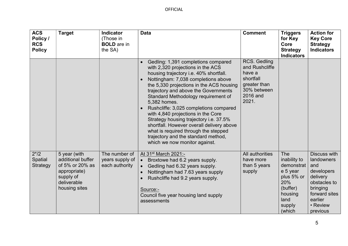| <b>ACS</b><br>Policy /<br><b>RCS</b><br><b>Policy</b> | <b>Target</b>                                                                                                     | <b>Indicator</b><br>(Those in<br><b>BOLD</b> are in<br>the SA) | <b>Data</b>                                                                                                                                                                                                                                                                                                                                                                                                                                                                                                                                                                                 | <b>Comment</b>                                                                                            | <b>Triggers</b><br>for Key<br>Core<br><b>Strategy</b><br><b>Indicators</b>                                            | <b>Action for</b><br><b>Key Core</b><br><b>Strategy</b><br><b>Indicators</b>                                                                       |
|-------------------------------------------------------|-------------------------------------------------------------------------------------------------------------------|----------------------------------------------------------------|---------------------------------------------------------------------------------------------------------------------------------------------------------------------------------------------------------------------------------------------------------------------------------------------------------------------------------------------------------------------------------------------------------------------------------------------------------------------------------------------------------------------------------------------------------------------------------------------|-----------------------------------------------------------------------------------------------------------|-----------------------------------------------------------------------------------------------------------------------|----------------------------------------------------------------------------------------------------------------------------------------------------|
|                                                       |                                                                                                                   |                                                                | Gedling: 1,391 completions compared<br>with 2,320 projections in the ACS<br>housing trajectory i.e. 40% shortfall.<br>Nottingham: 7,038 completions above<br>the 5,330 projections in the ACS housing<br>trajectory and above the Governments<br>Standard Methodology requirement of<br>5,382 homes.<br>Rushcliffe: 3,025 completions compared<br>with 4,840 projections in the Core<br>Strategy housing trajectory i.e. 37.5%<br>shortfall. However overall delivery above<br>what is required through the stepped<br>trajectory and the standard method,<br>which we now monitor against. | RCS. Gedling<br>and Rushcliffe<br>have a<br>shortfall<br>greater than<br>30% between<br>2016 and<br>2021. |                                                                                                                       |                                                                                                                                                    |
| $2^{*/2}$<br>Spatial<br><b>Strategy</b>               | 5 year (with<br>additional buffer<br>of 5% or 20% as<br>appropriate)<br>supply of<br>deliverable<br>housing sites | The number of<br>years supply of<br>each authority             | At 31 <sup>st</sup> March 2021:-<br>• Broxtowe had 6.2 years supply.<br>Gedling had 6.32 years supply.<br>Nottingham had 7.63 years supply<br>Rushcliffe had 9.2 years supply.<br>Source:-<br>Council five year housing land supply<br>assessments                                                                                                                                                                                                                                                                                                                                          | All authorities<br>have more<br>than 5 years<br>supply                                                    | The<br>inability to<br>demonstrat<br>e 5 year<br>plus 5% or<br>20%<br>(buffer)<br>housing<br>land<br>supply<br>(which | <b>Discuss with</b><br>landowners<br>and<br>developers<br>delivery<br>obstacles to<br>bringing<br>forward sites<br>earlier<br>• Review<br>previous |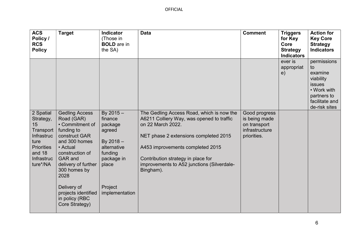| <b>ACS</b><br>Policy /<br><b>RCS</b><br><b>Policy</b>                                                                    | <b>Target</b>                                                                                                                                                                                                                                                                    | <b>Indicator</b><br>(Those in<br><b>BOLD</b> are in<br>the SA)                                                                           | <b>Data</b>                                                                                                                                                                                                                                                                               | <b>Comment</b>                                                                  | <b>Triggers</b><br>for Key<br>Core<br><b>Strategy</b><br><b>Indicators</b> | <b>Action for</b><br><b>Key Core</b><br><b>Strategy</b><br><b>Indicators</b>                                                |
|--------------------------------------------------------------------------------------------------------------------------|----------------------------------------------------------------------------------------------------------------------------------------------------------------------------------------------------------------------------------------------------------------------------------|------------------------------------------------------------------------------------------------------------------------------------------|-------------------------------------------------------------------------------------------------------------------------------------------------------------------------------------------------------------------------------------------------------------------------------------------|---------------------------------------------------------------------------------|----------------------------------------------------------------------------|-----------------------------------------------------------------------------------------------------------------------------|
|                                                                                                                          |                                                                                                                                                                                                                                                                                  |                                                                                                                                          |                                                                                                                                                                                                                                                                                           |                                                                                 | ever is<br>appropriat<br>e)                                                | permissions<br>to<br>examine<br>viability<br><b>issues</b><br>• Work with<br>partners to<br>facilitate and<br>de-risk sites |
| 2 Spatial<br>Strategy,<br>15<br>Transport<br>Infrastruc<br>ture<br><b>Priorities</b><br>and 18<br>Infrastruc<br>ture*/NA | <b>Gedling Access</b><br>Road (GAR)<br>• Commitment of<br>funding to<br>construct GAR<br>and 300 homes<br>• Actual<br>construction of<br><b>GAR</b> and<br>delivery of further<br>300 homes by<br>2028<br>Delivery of<br>projects identified<br>in policy (RBC<br>Core Strategy) | By $2015 -$<br>finance<br>package<br>agreed<br>By $2018 -$<br>alternative<br>funding<br>package in<br>place<br>Project<br>implementation | The Gedling Access Road, which is now the<br>A6211 Colliery Way, was opened to traffic<br>on 22 March 2022.<br>NET phase 2 extensions completed 2015<br>A453 improvements completed 2015<br>Contribution strategy in place for<br>improvements to A52 junctions (Silverdale-<br>Bingham). | Good progress<br>is being made<br>on transport<br>infrastructure<br>priorities. |                                                                            |                                                                                                                             |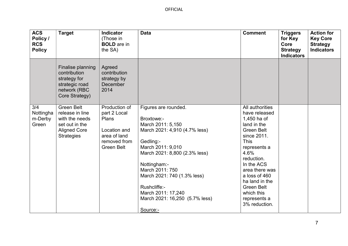| <b>ACS</b><br>Policy /<br><b>RCS</b><br><b>Policy</b> | <b>Target</b>                                                                                                        | <b>Indicator</b><br>(Those in<br><b>BOLD</b> are in<br>the SA)                                              | <b>Data</b>                                                                                                                                                                                                                                                                                                       | <b>Comment</b>                                                                                                                                                                                                                                                                                 | <b>Triggers</b><br>for Key<br>Core<br><b>Strategy</b><br><b>Indicators</b> | <b>Action for</b><br><b>Key Core</b><br><b>Strategy</b><br><b>Indicators</b> |
|-------------------------------------------------------|----------------------------------------------------------------------------------------------------------------------|-------------------------------------------------------------------------------------------------------------|-------------------------------------------------------------------------------------------------------------------------------------------------------------------------------------------------------------------------------------------------------------------------------------------------------------------|------------------------------------------------------------------------------------------------------------------------------------------------------------------------------------------------------------------------------------------------------------------------------------------------|----------------------------------------------------------------------------|------------------------------------------------------------------------------|
|                                                       | Finalise planning<br>contribution<br>strategy for<br>strategic road<br>network (RBC<br>Core Strategy)                | Agreed<br>contribution<br>strategy by<br>December<br>2014                                                   |                                                                                                                                                                                                                                                                                                                   |                                                                                                                                                                                                                                                                                                |                                                                            |                                                                              |
| 3/4<br>Nottingha<br>m-Derby<br>Green                  | <b>Green Belt</b><br>release in line<br>with the needs<br>set out in the<br><b>Aligned Core</b><br><b>Strategies</b> | Production of<br>part 2 Local<br>Plans<br>Location and<br>area of land<br>removed from<br><b>Green Belt</b> | Figures are rounded.<br>Broxtowe:-<br>March 2011: 5,150<br>March 2021: 4,910 (4.7% less)<br>Gedling:-<br>March 2011: 9,010<br>March 2021: 8,800 (2.3% less)<br>Nottingham:-<br>March 2011: 750<br>March 2021: 740 (1.3% less)<br>Rushcliffe:-<br>March 2011: 17,240<br>March 2021: 16,250 (5.7% less)<br>Source:- | All authorities<br>have released<br>1,450 ha of<br>land in the<br><b>Green Belt</b><br>since 2011.<br><b>This</b><br>represents a<br>4.6%<br>reduction.<br>In the ACS<br>area there was<br>a loss of 460<br>ha land in the<br><b>Green Belt</b><br>which this<br>represents a<br>3% reduction. |                                                                            |                                                                              |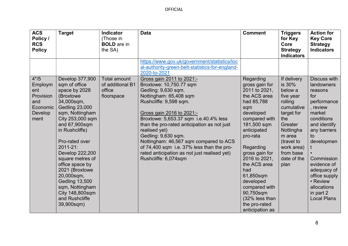| <b>ACS</b><br>Policy /<br><b>RCS</b><br><b>Policy</b>                       | <b>Target</b>                                                                                                                                                                                                                                                                                                                                                                                          | <b>Indicator</b><br>(Those in<br><b>BOLD</b> are in<br>the SA)  | <b>Data</b>                                                                                                                                                                                                                                                                                                                                                                                                                                                 | <b>Comment</b>                                                                                                                                                                                                                                                                                                                                 | <b>Triggers</b><br>for Key<br>Core<br><b>Strategy</b><br><b>Indicators</b>                                                                                                                    | <b>Action for</b><br><b>Key Core</b><br><b>Strategy</b><br><b>Indicators</b>                                                                                                                                                                                                          |
|-----------------------------------------------------------------------------|--------------------------------------------------------------------------------------------------------------------------------------------------------------------------------------------------------------------------------------------------------------------------------------------------------------------------------------------------------------------------------------------------------|-----------------------------------------------------------------|-------------------------------------------------------------------------------------------------------------------------------------------------------------------------------------------------------------------------------------------------------------------------------------------------------------------------------------------------------------------------------------------------------------------------------------------------------------|------------------------------------------------------------------------------------------------------------------------------------------------------------------------------------------------------------------------------------------------------------------------------------------------------------------------------------------------|-----------------------------------------------------------------------------------------------------------------------------------------------------------------------------------------------|---------------------------------------------------------------------------------------------------------------------------------------------------------------------------------------------------------------------------------------------------------------------------------------|
|                                                                             |                                                                                                                                                                                                                                                                                                                                                                                                        |                                                                 | https://www.gov.uk/government/statistics/loc<br>al-authority-green-belt-statistics-for-england-<br>2020-to-2021                                                                                                                                                                                                                                                                                                                                             |                                                                                                                                                                                                                                                                                                                                                |                                                                                                                                                                                               |                                                                                                                                                                                                                                                                                       |
| $4*/5$<br>Employm<br>ent<br>Provision<br>and<br>Economic<br>Develop<br>ment | Develop 377,900<br>sqm of office<br>space by 2028<br>(Broxtowe<br>34,000sqm,<br><b>Gedling 23,000</b><br>sqm, Nottingham<br>City 253,000 sqm<br>and 67,900sqm<br>in Rushcliffe)<br>Pro-rated over<br>2011-21:<br>Develop 222,200<br>square metres of<br>office space by<br>2021 (Broxtowe<br>20,000sqm,<br><b>Gedling 13,500</b><br>sqm, Nottingham<br>City 148,800sqm<br>and Rushcliffe<br>39,900sqm) | <b>Total amount</b><br>of additional B1<br>office<br>floorspace | Gross gain 2011 to 2021:-<br>Broxtowe: 10,750.77 sqm<br>Gedling: 9,630 sqm.<br>Nottingham: 65,408 sqm<br>Rushcliffe: 9,598 sqm.<br>Gross gain 2016 to 2021:-<br>Broxtowe: 5,653.37 sqm i.e.40.4% less<br>than the pro-rated anticipation as not just<br>realised yet)<br>Gedling: 9,630 sqm.<br>Nottingham: 46,567 sqm compared to ACS<br>of 74,400 sqm i.e. 37% less than the pro-<br>rated anticipation as not just realised yet)<br>Rushcliffe: 6,074sqm | Regarding<br>gross gain for<br>2011 to 2021,<br>the ACS area<br>had 85,788<br>sqm<br>developed<br>compared with<br>181,500 sqm<br>anticipated<br>pro-rata<br>Regarding<br>gross gain for<br>2016 to 2021,<br>the ACS area<br>had<br>61,850sqm<br>developed<br>compared with<br>90,750sqm<br>(32% less than<br>the pro-rated<br>anticipation as | If delivery<br>is 30%<br>below a<br>five year<br>rolling<br>cumulative<br>target for<br>the<br>Greater<br>Nottingha<br>m area<br>(travel to<br>work area)<br>from base<br>date of the<br>plan | <b>Discuss with</b><br>landowners<br>reasons<br>for<br>performance<br>, review<br>market<br>conditions<br>and identify<br>any barriers<br>to<br>developmen<br>Commission<br>evidence of<br>adequacy of<br>office supply<br>• Review<br>allocations<br>in part 2<br><b>Local Plans</b> |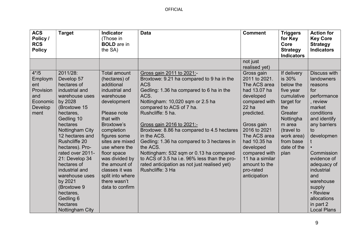| <b>ACS</b><br>Policy /<br><b>RCS</b><br><b>Policy</b>                       | <b>Target</b>                                                                                                                                                                                                                                                                                                                                                                                            | <b>Indicator</b><br>(Those in<br><b>BOLD</b> are in<br>the SA)                                                                                                                                                                                                                                                                          | <b>Data</b>                                                                                                                                                                                                                                                                                                                                                                                                                                                                                                                                      | <b>Comment</b>                                                                                                                                                                                                                                                                           | <b>Triggers</b><br>for Key<br>Core<br><b>Strategy</b><br><b>Indicators</b>                                                                                                           | <b>Action for</b><br><b>Key Core</b><br><b>Strategy</b><br><b>Indicators</b>                                                                                                                                                                                                                                     |
|-----------------------------------------------------------------------------|----------------------------------------------------------------------------------------------------------------------------------------------------------------------------------------------------------------------------------------------------------------------------------------------------------------------------------------------------------------------------------------------------------|-----------------------------------------------------------------------------------------------------------------------------------------------------------------------------------------------------------------------------------------------------------------------------------------------------------------------------------------|--------------------------------------------------------------------------------------------------------------------------------------------------------------------------------------------------------------------------------------------------------------------------------------------------------------------------------------------------------------------------------------------------------------------------------------------------------------------------------------------------------------------------------------------------|------------------------------------------------------------------------------------------------------------------------------------------------------------------------------------------------------------------------------------------------------------------------------------------|--------------------------------------------------------------------------------------------------------------------------------------------------------------------------------------|------------------------------------------------------------------------------------------------------------------------------------------------------------------------------------------------------------------------------------------------------------------------------------------------------------------|
|                                                                             |                                                                                                                                                                                                                                                                                                                                                                                                          |                                                                                                                                                                                                                                                                                                                                         |                                                                                                                                                                                                                                                                                                                                                                                                                                                                                                                                                  | not just<br>realised yet)                                                                                                                                                                                                                                                                |                                                                                                                                                                                      |                                                                                                                                                                                                                                                                                                                  |
| $4*/5$<br>Employm<br>ent<br>Provision<br>and<br>Economic<br>Develop<br>ment | 2011/28:<br>Develop 57<br>hectares of<br>industrial and<br>warehouse uses<br>by 2028<br>(Broxtowe 15<br>hectares,<br>Gedling 10<br>hectares<br>Nottingham City<br>12 hectares and<br><b>Rushcliffe 20</b><br>hectares). Pro-<br>rated over 2011-<br>21: Develop 34<br>hectares of<br>industrial and<br>warehouse uses<br>by 2021<br>(Broxtowe 9<br>hectares,<br>Gedling 6<br>hectares<br>Nottingham City | <b>Total amount</b><br>(hectares) of<br>additional<br>industrial and<br>warehouse<br>development<br>Please note<br>that with<br>Broxtowe's<br>completion<br>figures some<br>sites are mixed<br>use where the<br>floor space<br>was divided by<br>the amount of<br>classes it was<br>split into where<br>there wasn't<br>data to confirm | Gross gain 2011 to 2021:-<br>Broxtowe: 9.21 ha compared to 9 ha in the<br><b>ACS</b><br>Gedling: 1.36 ha compared to 6 ha in the<br>ACS.<br>Nottingham: 10,020 sqm or 2.5 ha<br>compared to ACS of 7 ha.<br>Rushcliffe: 5 ha.<br>Gross gain 2016 to 2021:-<br>Broxtowe: 8.86 ha compared to 4.5 hectares<br>in the ACS.<br>Gedling: 1.36 ha compared to 3 hectares in<br>the ACS.<br>Nottingham: 532 sqm or 0.13 ha compared<br>to ACS of 3.5 ha i.e. 96% less than the pro-<br>rated anticipation as not just realised yet)<br>Rushcliffe: 3 Ha | Gross gain<br>2011 to 2021.<br>The ACS area<br>had 13.07 ha<br>developed<br>compared with<br>22 <sub>ha</sub><br>predicted.<br>Gross gain<br>2016 to 2021<br>The ACS area<br>had 10.35 ha<br>developed<br>compared with<br>11 ha a similar<br>amount to the<br>pro-rated<br>anticipation | If delivery<br>is 30%<br>below the<br>five year<br>cumulative<br>target for<br>the<br>Greater<br>Nottingha<br>m area<br>(travel to<br>work area)<br>from base<br>date of the<br>plan | <b>Discuss with</b><br>landowners<br>reasons<br>for<br>performance<br>, review<br>market<br>conditions<br>and identify<br>any barriers<br>to<br>developmen<br>Commission<br>evidence of<br>adequacy of<br>industrial<br>and<br>warehouse<br>supply<br>• Review<br>allocations<br>in part 2<br><b>Local Plans</b> |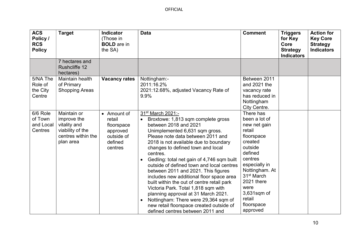| <b>ACS</b><br>Policy /<br><b>RCS</b><br><b>Policy</b> | <b>Target</b>                                                                                     | Indicator<br>(Those in<br><b>BOLD</b> are in<br>the SA)                             | <b>Data</b>                                                                                                                                                                                                                                                                                                                                                                                                                                                                                                                                                                                                                                                                                                               | <b>Comment</b>                                                                                                                                                                                                                                       | <b>Triggers</b><br>for Key<br>Core<br><b>Strategy</b><br><b>Indicators</b> | <b>Action for</b><br><b>Key Core</b><br><b>Strategy</b><br><b>Indicators</b> |
|-------------------------------------------------------|---------------------------------------------------------------------------------------------------|-------------------------------------------------------------------------------------|---------------------------------------------------------------------------------------------------------------------------------------------------------------------------------------------------------------------------------------------------------------------------------------------------------------------------------------------------------------------------------------------------------------------------------------------------------------------------------------------------------------------------------------------------------------------------------------------------------------------------------------------------------------------------------------------------------------------------|------------------------------------------------------------------------------------------------------------------------------------------------------------------------------------------------------------------------------------------------------|----------------------------------------------------------------------------|------------------------------------------------------------------------------|
|                                                       | 7 hectares and<br><b>Rushcliffe 12</b><br>hectares)                                               |                                                                                     |                                                                                                                                                                                                                                                                                                                                                                                                                                                                                                                                                                                                                                                                                                                           |                                                                                                                                                                                                                                                      |                                                                            |                                                                              |
| 5/NA The<br>Role of<br>the City<br>Centre             | Maintain health<br>of Primary<br><b>Shopping Areas</b>                                            | <b>Vacancy rates</b>                                                                | Nottingham:-<br>2011:16.2%<br>2021:12.68%, adjusted Vacancy Rate of<br>9.9%                                                                                                                                                                                                                                                                                                                                                                                                                                                                                                                                                                                                                                               | Between 2011<br>and 2021 the<br>vacancy rate<br>has reduced in<br>Nottingham<br>City Centre.                                                                                                                                                         |                                                                            |                                                                              |
| 6/6 Role<br>of Town<br>and Local<br>Centres           | Maintain or<br>improve the<br>vitality and<br>viability of the<br>centres within the<br>plan area | • Amount of<br>retail<br>floorspace<br>approved<br>outside of<br>defined<br>centres | 31 <sup>st</sup> March 2021:-<br>Broxtowe: 1,813 sqm complete gross<br>$\bullet$<br>between 2018 and 2021<br>Unimplemented 6,631 sqm gross.<br>Please note data between 2011 and<br>2018 is not available due to boundary<br>changes to defined town and local<br>centres.<br>Gedling: total net gain of 4,746 sqm built<br>outside of defined town and local centres<br>between 2011 and 2021. This figures<br>includes new additional floor space area<br>built within the out of centre retail park<br>Victoria Park. Total 1,818 sqm with<br>planning approval at 31 March 2021.<br>Nottingham: There were 29,364 sqm of<br>$\bullet$<br>new retail floorspace created outside of<br>defined centres between 2011 and | There has<br>been a lot of<br>new net gain<br>retail<br>floorspace<br>created<br>outside<br>defined<br>centres<br>especially in<br>Nottingham. At<br>31 <sup>st</sup> March<br>2021 there<br>were<br>3,631sqm of<br>retail<br>floorspace<br>approved |                                                                            |                                                                              |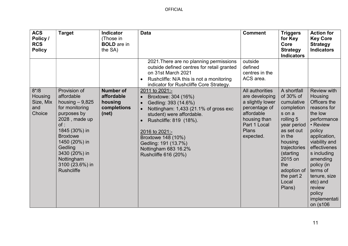| <b>ACS</b><br>Policy /<br><b>RCS</b><br><b>Policy</b> | <b>Target</b>                                                                                                                                                                                                                                  | <b>Indicator</b><br>(Those in<br><b>BOLD</b> are in<br>the SA)    | <b>Data</b>                                                                                                                                                                                                                                                                                                                       | <b>Comment</b>                                                                                                                                    | <b>Triggers</b><br>for Key<br>Core<br><b>Strategy</b><br><b>Indicators</b>                                                                                                                                                   | <b>Action for</b><br><b>Key Core</b><br><b>Strategy</b><br><b>Indicators</b>                                                                                                                                                                                                                   |
|-------------------------------------------------------|------------------------------------------------------------------------------------------------------------------------------------------------------------------------------------------------------------------------------------------------|-------------------------------------------------------------------|-----------------------------------------------------------------------------------------------------------------------------------------------------------------------------------------------------------------------------------------------------------------------------------------------------------------------------------|---------------------------------------------------------------------------------------------------------------------------------------------------|------------------------------------------------------------------------------------------------------------------------------------------------------------------------------------------------------------------------------|------------------------------------------------------------------------------------------------------------------------------------------------------------------------------------------------------------------------------------------------------------------------------------------------|
|                                                       |                                                                                                                                                                                                                                                |                                                                   | 2021. There are no planning permissions<br>outside defined centres for retail granted<br>on 31st March 2021<br>Rushcliffe: N/A this is not a monitoring<br>indicator for Rushcliffe Core Strategy.                                                                                                                                | outside<br>defined<br>centres in the<br>ACS area.                                                                                                 |                                                                                                                                                                                                                              |                                                                                                                                                                                                                                                                                                |
| $8*/8$<br>Housing<br>Size, Mix<br>and<br>Choice       | Provision of<br>affordable<br>housing $-9,825$<br>for monitoring<br>purposes by<br>2028, made up<br>of:<br>1845 (30%) in<br><b>Broxtowe</b><br>1450 (20%) in<br>Gedling<br>3430 (20%) in<br>Nottingham<br>3100 (23.6%) in<br><b>Rushcliffe</b> | <b>Number of</b><br>affordable<br>housing<br>completions<br>(net) | 2011 to 2021:-<br>Broxtowe: 304 (16%)<br>$\bullet$<br>Gedling: 393 (14.6%)<br>$\bullet$<br>Nottingham: 1,433 (21.1% of gross exc<br>$\bullet$<br>student) were affordable.<br>Rushcliffe: 819 (18%).<br>$\bullet$<br>2016 to 2021:-<br>Broxtowe 148 (10%)<br>Gedling: 191 (13.7%)<br>Nottingham 683 16.2%<br>Rushcliffe 616 (20%) | All authorities<br>are developing<br>a slightly lower<br>percentage of<br>affordable<br>housing than<br>Part 1 Local<br><b>Plans</b><br>expected. | A shortfall<br>of 30% of<br>cumulative<br>completion<br>s on a<br>rolling 5<br>year period<br>as set out<br>in the<br>housing<br>trajectories<br>(starting<br>2015 on<br>the<br>adoption of<br>the part 2<br>Local<br>Plans) | <b>Review with</b><br>Housing<br>Officers the<br>reasons for<br>the low<br>performance<br>• Review<br>policy<br>application,<br>viability and<br>effectivenes<br>s including<br>amending<br>policy (in<br>terms of<br>tenure, size<br>etc) and<br>review<br>policy<br>implementati<br>on (s106 |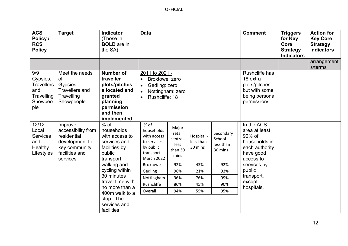| <b>ACS</b><br>Policy /<br><b>RCS</b><br><b>Policy</b>                       | <b>Target</b>                                                                                                 | <b>Indicator</b><br>(Those in<br><b>BOLD</b> are in<br>the SA)                                                                  | <b>Data</b>                                                                                                                    |                                                        |                                    |                                               | <b>Comment</b>                                                                                        | <b>Triggers</b><br>for Key<br>Core<br><b>Strategy</b><br><b>Indicators</b> | <b>Action for</b><br><b>Key Core</b><br><b>Strategy</b><br><b>Indicators</b> |
|-----------------------------------------------------------------------------|---------------------------------------------------------------------------------------------------------------|---------------------------------------------------------------------------------------------------------------------------------|--------------------------------------------------------------------------------------------------------------------------------|--------------------------------------------------------|------------------------------------|-----------------------------------------------|-------------------------------------------------------------------------------------------------------|----------------------------------------------------------------------------|------------------------------------------------------------------------------|
|                                                                             |                                                                                                               |                                                                                                                                 |                                                                                                                                |                                                        |                                    |                                               |                                                                                                       |                                                                            | arrangement<br>s/terms                                                       |
| 9/9<br>Gypsies,<br><b>Travellers</b><br>and<br>Travelling<br>Showpeo<br>ple | Meet the needs<br>of<br>Gypsies,<br><b>Travellers and</b><br>Travelling<br>Showpeople                         | <b>Number of</b><br>traveller<br>plots/pitches<br>allocated and<br>granted<br>planning<br>permission<br>and then<br>implemented | 2011 to 2021:-<br>Broxtowe: zero<br>$\bullet$<br>Gedling: zero<br>$\bullet$<br>Nottingham: zero<br>Rushcliffe: 18<br>$\bullet$ |                                                        |                                    |                                               | <b>Rushcliffe has</b><br>18 extra<br>plots/pitches<br>but with some<br>being personal<br>permissions. |                                                                            |                                                                              |
| 12/12<br>Local<br><b>Services</b><br>and<br>Healthy<br>Lifestyles           | Improve<br>accessibility from<br>residential<br>development to<br>key community<br>facilities and<br>services | $%$ of<br>households<br>with access to<br>services and<br>facilities by<br>public<br>transport,                                 | % of<br>households<br>with access<br>to services<br>by public<br>transport<br><b>March 2022</b>                                | Major<br>retail<br>centre -<br>less<br>than 30<br>mins | Hospital -<br>less than<br>30 mins | Secondary<br>School -<br>less than<br>30 mins | In the ACS<br>area at least<br>90% of<br>households in<br>each authority<br>have good<br>access to    |                                                                            |                                                                              |
|                                                                             |                                                                                                               | walking and                                                                                                                     | <b>Broxtowe</b>                                                                                                                | 92%                                                    | 43%                                | 92%                                           | services by                                                                                           |                                                                            |                                                                              |
|                                                                             |                                                                                                               | cycling within<br>30 minutes                                                                                                    | Gedling                                                                                                                        | 96%                                                    | 21%                                | 93%                                           | public                                                                                                |                                                                            |                                                                              |
|                                                                             |                                                                                                               | travel time with                                                                                                                | Nottingham                                                                                                                     | 96%                                                    | 76%                                | 99%                                           | transport,<br>except                                                                                  |                                                                            |                                                                              |
|                                                                             |                                                                                                               | no more than a                                                                                                                  | Rushcliffe                                                                                                                     | 86%                                                    | 45%                                | 90%                                           | hospitals.                                                                                            |                                                                            |                                                                              |
|                                                                             |                                                                                                               | 400m walk to a<br>stop. The<br>services and<br>facilities                                                                       | Overall                                                                                                                        | 94%                                                    | 55%                                | 95%                                           |                                                                                                       |                                                                            |                                                                              |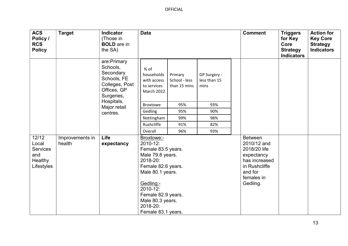| <b>ACS</b><br>Policy /<br><b>RCS</b><br><b>Policy</b>             | <b>Target</b>             | Indicator<br>(Those in<br><b>BOLD</b> are in<br>the SA)                                            | <b>Data</b>                                                                                                                                                                                                                 |                                          |                                      | <b>Comment</b>                                                                                                                     | <b>Triggers</b><br>for Key<br>Core<br><b>Strategy</b><br><b>Indicators</b> | <b>Action for</b><br><b>Key Core</b><br><b>Strategy</b><br><b>Indicators</b> |
|-------------------------------------------------------------------|---------------------------|----------------------------------------------------------------------------------------------------|-----------------------------------------------------------------------------------------------------------------------------------------------------------------------------------------------------------------------------|------------------------------------------|--------------------------------------|------------------------------------------------------------------------------------------------------------------------------------|----------------------------------------------------------------------------|------------------------------------------------------------------------------|
|                                                                   |                           | are:Primary<br>Schools,<br>Secondary<br>Schools, FE<br>Colleges, Post<br>Offices, GP<br>Surgeries, | $%$ of<br>households<br>with access<br>to services<br><b>March 2022</b>                                                                                                                                                     | Primary<br>School - less<br>than 15 mins | GP Surgery -<br>less than 15<br>mins |                                                                                                                                    |                                                                            |                                                                              |
|                                                                   |                           | Hospitals,<br>Major retail                                                                         | <b>Broxtowe</b>                                                                                                                                                                                                             | 95%                                      | 93%                                  |                                                                                                                                    |                                                                            |                                                                              |
|                                                                   |                           | centres.                                                                                           | Gedling                                                                                                                                                                                                                     | 95%                                      | 90%                                  |                                                                                                                                    |                                                                            |                                                                              |
|                                                                   |                           |                                                                                                    | Nottingham                                                                                                                                                                                                                  | 99%                                      | 98%                                  |                                                                                                                                    |                                                                            |                                                                              |
|                                                                   |                           |                                                                                                    | Rushcliffe                                                                                                                                                                                                                  | 91%                                      | 82%                                  |                                                                                                                                    |                                                                            |                                                                              |
|                                                                   |                           |                                                                                                    | Overall                                                                                                                                                                                                                     | 96%                                      | 93%                                  |                                                                                                                                    |                                                                            |                                                                              |
| 12/12<br>Local<br><b>Services</b><br>and<br>Healthy<br>Lifestyles | Improvements in<br>health | Life<br>expectancy                                                                                 | Broxtowe:-<br>2010-12:<br>Female 83.5 years.<br>Male 79.8 years.<br>2018-20:<br>Female 82.6 years.<br>Male 80.1 years.<br>Gedling:-<br>2010-12:<br>Female 82.9 years.<br>Male 80.3 years.<br>2018-20:<br>Female 83.1 years. |                                          |                                      | <b>Between</b><br>2010/12 and<br>2018/20 life<br>expectancy<br>has increased<br>in Rushcliffe<br>and for<br>females in<br>Gedling. |                                                                            |                                                                              |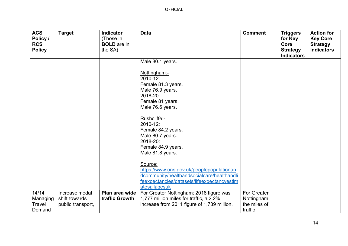| <b>ACS</b><br>Policy /<br><b>RCS</b><br><b>Policy</b> | <b>Target</b>                      | <b>Indicator</b><br>(Those in<br><b>BOLD</b> are in<br>the SA) | <b>Data</b>                                                                                                                                                                                                                                                                                                                                                                                             | <b>Comment</b>                         | <b>Triggers</b><br>for Key<br>Core<br><b>Strategy</b><br><b>Indicators</b> | <b>Action for</b><br><b>Key Core</b><br><b>Strategy</b><br><b>Indicators</b> |
|-------------------------------------------------------|------------------------------------|----------------------------------------------------------------|---------------------------------------------------------------------------------------------------------------------------------------------------------------------------------------------------------------------------------------------------------------------------------------------------------------------------------------------------------------------------------------------------------|----------------------------------------|----------------------------------------------------------------------------|------------------------------------------------------------------------------|
|                                                       |                                    |                                                                | Male 80.1 years.                                                                                                                                                                                                                                                                                                                                                                                        |                                        |                                                                            |                                                                              |
|                                                       |                                    |                                                                | Nottingham:-<br>2010-12:<br>Female 81.3 years.<br>Male 76.9 years.<br>2018-20:<br>Female 81 years.<br>Male 76.6 years.<br>Rushcliffe:-<br>2010-12:<br>Female 84.2 years.<br>Male 80.7 years.<br>2018-20:<br>Female 84.9 years.<br>Male 81.8 years.<br>Source:<br>https://www.ons.gov.uk/peoplepopulationan<br>dcommunity/healthandsocialcare/healthandli<br>feexpectancies/datasets/lifeexpectancyestim |                                        |                                                                            |                                                                              |
| 14/14                                                 | Increase modal                     | Plan area wide                                                 | atesallagesuk<br>For Greater Nottingham: 2018 figure was                                                                                                                                                                                                                                                                                                                                                | For Greater                            |                                                                            |                                                                              |
| Managing<br>Travel<br>Demand                          | shift towards<br>public transport, | traffic Growth                                                 | 1,777 million miles for traffic, a 2.2%<br>increase from 2011 figure of 1,739 million.                                                                                                                                                                                                                                                                                                                  | Nottingham,<br>the miles of<br>traffic |                                                                            |                                                                              |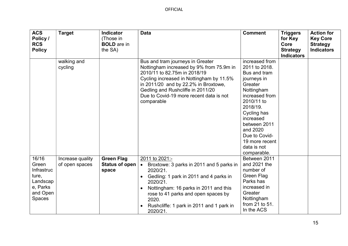| <b>ACS</b><br>Policy /<br><b>RCS</b><br><b>Policy</b>                                      | <b>Target</b>                      | <b>Indicator</b><br>(Those in<br><b>BOLD</b> are in<br>the SA) | <b>Data</b>                                                                                                                                                                                                                                                                                    | <b>Comment</b>                                                                                                                                                                                                                                               | <b>Triggers</b><br>for Key<br>Core<br><b>Strategy</b><br><b>Indicators</b> | <b>Action for</b><br><b>Key Core</b><br><b>Strategy</b><br><b>Indicators</b> |
|--------------------------------------------------------------------------------------------|------------------------------------|----------------------------------------------------------------|------------------------------------------------------------------------------------------------------------------------------------------------------------------------------------------------------------------------------------------------------------------------------------------------|--------------------------------------------------------------------------------------------------------------------------------------------------------------------------------------------------------------------------------------------------------------|----------------------------------------------------------------------------|------------------------------------------------------------------------------|
|                                                                                            | walking and<br>cycling             |                                                                | Bus and tram journeys in Greater<br>Nottingham increased by 9% from 75.9m in<br>2010/11 to 82.75m in 2018/19<br>Cycling increased in Nottingham by 11.5%<br>in 2011/20 and by 22.2% in Broxtowe,<br>Gedling and Rushcliffe in 2011/20<br>Due to Covid-19 more recent data is not<br>comparable | increased from<br>2011 to 2018.<br>Bus and tram<br>journeys in<br>Greater<br>Nottingham<br>increased from<br>2010/11 to<br>2018/19.<br>Cycling has<br>increased<br>between 2011<br>and 2020<br>Due to Covid-<br>19 more recent<br>data is not<br>comparable. |                                                                            |                                                                              |
| 16/16<br>Green<br>Infrastruc<br>ture,<br>Landscap<br>e, Parks<br>and Open<br><b>Spaces</b> | Increase quality<br>of open spaces | <b>Green Flag</b><br><b>Status of open</b><br>space            | 2011 to 2021:-<br>Broxtowe: 3 parks in 2011 and 5 parks in<br>$\bullet$<br>2020/21.<br>Gedling: 1 park in 2011 and 4 parks in<br>2020/21.<br>Nottingham: 16 parks in 2011 and this<br>rose to 41 parks and open spaces by<br>2020.<br>Rushcliffe: 1 park in 2011 and 1 park in<br>2020/21.     | Between 2011<br>and 2021 the<br>number of<br><b>Green Flag</b><br>Parks has<br>increased in<br>Greater<br>Nottingham<br>from 21 to 51.<br>In the ACS                                                                                                         |                                                                            |                                                                              |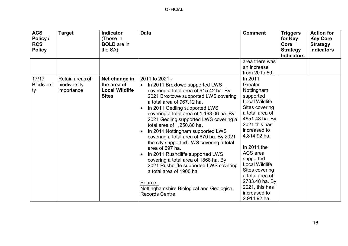| <b>ACS</b><br>Policy /<br><b>RCS</b><br><b>Policy</b> | <b>Target</b>                                 | <b>Indicator</b><br>(Those in<br><b>BOLD</b> are in<br>the SA)        | <b>Data</b>                                                                                                                                                                                                                                                                                                                                                                                                                                                                                                                                                                                                                                                                                            | <b>Comment</b>                                                                                                                                                                                                                                                                                                                                           | <b>Triggers</b><br>for Key<br>Core<br><b>Strategy</b><br><b>Indicators</b> | <b>Action for</b><br><b>Key Core</b><br><b>Strategy</b><br><b>Indicators</b> |
|-------------------------------------------------------|-----------------------------------------------|-----------------------------------------------------------------------|--------------------------------------------------------------------------------------------------------------------------------------------------------------------------------------------------------------------------------------------------------------------------------------------------------------------------------------------------------------------------------------------------------------------------------------------------------------------------------------------------------------------------------------------------------------------------------------------------------------------------------------------------------------------------------------------------------|----------------------------------------------------------------------------------------------------------------------------------------------------------------------------------------------------------------------------------------------------------------------------------------------------------------------------------------------------------|----------------------------------------------------------------------------|------------------------------------------------------------------------------|
|                                                       |                                               |                                                                       |                                                                                                                                                                                                                                                                                                                                                                                                                                                                                                                                                                                                                                                                                                        | area there was<br>an increase<br>from 20 to 50.                                                                                                                                                                                                                                                                                                          |                                                                            |                                                                              |
| 17/17<br><b>Biodiversi</b><br>ty                      | Retain areas of<br>biodiversity<br>importance | Net change in<br>the area of<br><b>Local Wildlife</b><br><b>Sites</b> | 2011 to 2021:-<br>In 2011 Broxtowe supported LWS<br>covering a total area of 915.42 ha. By<br>2021 Broxtowe supported LWS covering<br>a total area of 967.12 ha.<br>In 2011 Gedling supported LWS<br>covering a total area of 1,198.06 ha. By<br>2021 Gedling supported LWS covering a<br>total area of 1,250.80 ha.<br>In 2011 Nottingham supported LWS<br>covering a total area of 670 ha. By 2021<br>the city supported LWS covering a total<br>area of 697 ha.<br>In 2011 Rushcliffe supported LWS<br>covering a total area of 1868 ha. By<br>2021 Rushcliffe supported LWS covering<br>a total area of 1900 ha.<br>Source:-<br>Nottinghamshire Biological and Geological<br><b>Records Centre</b> | In 2011<br>Greater<br>Nottingham<br>supported<br><b>Local Wildlife</b><br>Sites covering<br>a total area of<br>4651.48 ha. By<br>2021 this has<br>increased to<br>4,814.92 ha.<br>In 2011 the<br>ACS area<br>supported<br><b>Local Wildlife</b><br>Sites covering<br>a total area of<br>2783.48 ha. By<br>2021, this has<br>increased to<br>2.914.92 ha. |                                                                            |                                                                              |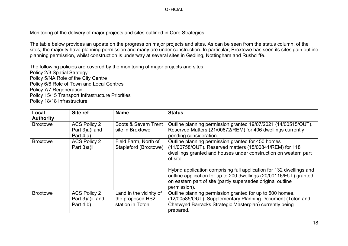#### Monitoring of the delivery of major projects and sites outlined in Core Strategies

The table below provides an update on the progress on major projects and sites. As can be seen from the status column, of the sites, the majority have planning permission and many are under construction. In particular, Broxtowe has seen its sites gain outline planning permission, whilst construction is underway at several sites in Gedling, Nottingham and Rushcliffe.

The following policies are covered by the monitoring of major projects and sites: Policy 2/3 Spatial Strategy Policy 5/NA Role of the City Centre Policy 6/6 Role of Town and Local Centres Policy 7/7 Regeneration Policy 15/15 Transport Infrastructure Priorities Policy 18/18 Infrastructure

| Local<br><b>Authority</b> | Site ref                                             | <b>Name</b>                                                     | <b>Status</b>                                                                                                                                                                                                             |
|---------------------------|------------------------------------------------------|-----------------------------------------------------------------|---------------------------------------------------------------------------------------------------------------------------------------------------------------------------------------------------------------------------|
| <b>Broxtowe</b>           | <b>ACS Policy 2</b>                                  | Boots & Severn Trent                                            | Outline planning permission granted 19/07/2021 (14/00515/OUT).                                                                                                                                                            |
|                           | Part 3)a)i and<br>Part $4a$ )                        | site in Broxtowe                                                | Reserved Matters (21/00672/REM) for 406 dwellings currently<br>pending consideration.                                                                                                                                     |
| <b>Broxtowe</b>           | <b>ACS Policy 2</b><br>Part 3)a)ii                   | Field Farm, North of<br>Stapleford (Broxtowe)                   | Outline planning permission granted for 450 homes<br>(11/00758/OUT). Reserved matters (15/00841/REM) for 118<br>dwellings granted and houses under construction on western part<br>of site.                               |
|                           |                                                      |                                                                 | Hybrid application comprising full application for 132 dwellings and<br>outline application for up to 200 dwellings (20/00116/FUL) granted<br>on eastern part of site (partly supersedes original outline<br>permission). |
| <b>Broxtowe</b>           | <b>ACS Policy 2</b><br>Part 3)a)iii and<br>Part 4 b) | Land in the vicinity of<br>the proposed HS2<br>station in Toton | Outline planning permission granted for up to 500 homes.<br>(12/00585/OUT). Supplementary Planning Document (Toton and<br>Chetwynd Barracks Strategic Masterplan) currently being<br>prepared.                            |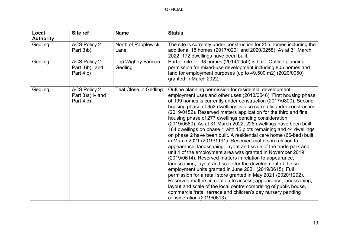| Local<br><b>Authority</b> | Site ref                                               | <b>Name</b>                   | <b>Status</b>                                                                                                                                                                                                                                                                                                                                                                                                                                                                                                                                                                                                                                                                                                                                                                                                                                                                                                                                                                                                                                                                                                                                                                                                                                                                                                    |
|---------------------------|--------------------------------------------------------|-------------------------------|------------------------------------------------------------------------------------------------------------------------------------------------------------------------------------------------------------------------------------------------------------------------------------------------------------------------------------------------------------------------------------------------------------------------------------------------------------------------------------------------------------------------------------------------------------------------------------------------------------------------------------------------------------------------------------------------------------------------------------------------------------------------------------------------------------------------------------------------------------------------------------------------------------------------------------------------------------------------------------------------------------------------------------------------------------------------------------------------------------------------------------------------------------------------------------------------------------------------------------------------------------------------------------------------------------------|
| Gedling                   | <b>ACS Policy 2</b><br>Part 3)b)i                      | North of Papplewick<br>Lane   | The site is currently under construction for 255 homes including the<br>additional 18 homes (2017/0201 and 2020/0258). As at 31 March<br>2022, 172 dwellings have been built.                                                                                                                                                                                                                                                                                                                                                                                                                                                                                                                                                                                                                                                                                                                                                                                                                                                                                                                                                                                                                                                                                                                                    |
| Gedling                   | <b>ACS Policy 2</b><br>Part 3)b)ii and<br>Part $4 c$ ) | Top Wighay Farm in<br>Gedling | Part of site for 38 homes (2014/0950) is built. Outline planning<br>permission for mixed-use development including 805 homes and<br>land for employment purposes (up to 49,500 m2) (2020/0050)<br>granted in March 2022.                                                                                                                                                                                                                                                                                                                                                                                                                                                                                                                                                                                                                                                                                                                                                                                                                                                                                                                                                                                                                                                                                         |
| Gedling                   | <b>ACS Policy 2</b><br>Part 3)a) iv and<br>Part 4 d)   | <b>Teal Close in Gedling</b>  | Outline planning permission for residential development,<br>employment uses and other uses (2013/0546). First housing phase<br>of 199 homes is currently under construction (2017/0800). Second<br>housing phase of 353 dwellings is also currently under construction<br>(2019/0152). Reserved matters application for the third and final<br>housing phase of 277 dwellings pending consideration<br>(2019/0560). As at 31 March 2022, 228 dwellings have been built.<br>184 dwellings on phase 1 with 15 plots remaining and 44 dwellings<br>on phase 2 have been built. A residential care home (66-bed) built<br>in March 2021 (2019/1191). Reserved matters in relation to<br>appearance, landscaping, layout and scale of the trade park and<br>unit 1 of the employment area was granted in November 2019<br>(2019/0614). Reserved matters in relation to appearance,<br>landscaping, layout and scale for the development of the six<br>employment units granted in June 2021 (2019/0615). Full<br>permission for a retail store granted in May 2021 (2020/1292).<br>Reserved matters in relation to access, appearance, landscaping,<br>layout and scale of the local centre comprising of public house,<br>commercial/retail terrace and children's day nursery pending<br>consideration (2019/0613). |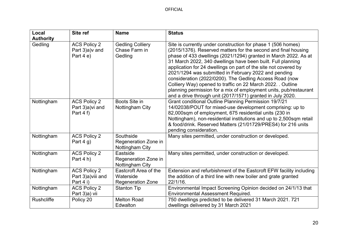| Local             | Site ref                                               | <b>Name</b>                                                    | <b>Status</b>                                                                                                                                                                                                                                                                                                                                                                                                                                                                                                                                                                                                                                            |
|-------------------|--------------------------------------------------------|----------------------------------------------------------------|----------------------------------------------------------------------------------------------------------------------------------------------------------------------------------------------------------------------------------------------------------------------------------------------------------------------------------------------------------------------------------------------------------------------------------------------------------------------------------------------------------------------------------------------------------------------------------------------------------------------------------------------------------|
| <b>Authority</b>  |                                                        |                                                                |                                                                                                                                                                                                                                                                                                                                                                                                                                                                                                                                                                                                                                                          |
| Gedling           | <b>ACS Policy 2</b><br>Part 3)a) v and<br>Part $4e$ )  | <b>Gedling Colliery</b><br>Chase Farm in<br>Gedling            | Site is currently under construction for phase 1 (506 homes)<br>(2015/1376). Reserved matters for the second and final housing<br>phase of 433 dwellings (2021/1294) granted in March 2022. As at<br>31 March 2022, 340 dwellings have been built. Full planning<br>application for 24 dwellings on part of the site not covered by<br>2021/1294 was submitted in February 2022 and pending<br>consideration (2022/0200). The Gedling Access Road (now<br>Colliery Way) opened to traffic on 22 March 2022. . Outline<br>planning permission for a mix of employment units, pub/restaurant<br>and a drive through unit (2017/1571) granted in July 2020. |
| Nottingham        | <b>ACS Policy 2</b><br>Part 3)a) vi and<br>Part 4 f)   | Boots Site in<br>Nottingham City                               | Grant conditional Outline Planning Permission 19/7/21<br>14/02038/POUT for mixed-use development comprising: up to<br>82,000sqm of employment, 675 residential units (230 in<br>Nottingham), non-residential institutions and up to 2,500sqm retail<br>& food/drink. Reserved Matters (21/01729/PRES4) for 216 units<br>pending consideration.                                                                                                                                                                                                                                                                                                           |
| Nottingham        | <b>ACS Policy 2</b><br>Part $4 g$ )                    | Southside<br>Regeneration Zone in<br>Nottingham City           | Many sites permitted, under construction or developed.                                                                                                                                                                                                                                                                                                                                                                                                                                                                                                                                                                                                   |
| Nottingham        | <b>ACS Policy 2</b><br>Part $4 h$ )                    | Eastside<br>Regeneration Zone in<br>Nottingham City            | Many sites permitted, under construction or developed.                                                                                                                                                                                                                                                                                                                                                                                                                                                                                                                                                                                                   |
| Nottingham        | <b>ACS Policy 2</b><br>Part 3)a) viii and<br>Part 4 i) | Eastcroft Area of the<br>Waterside<br><b>Regeneration Zone</b> | Extension and refurbishment of the Eastcroft EFW facility including<br>the addition of a third line with new boiler and grate granted<br>22/1/16.                                                                                                                                                                                                                                                                                                                                                                                                                                                                                                        |
| Nottingham        | <b>ACS Policy 2</b><br>Part 3)a) vii                   | <b>Stanton Tip</b>                                             | Environmental Impact Screening Opinion decided on 24/1/13 that<br><b>Environmental Assessment Required.</b>                                                                                                                                                                                                                                                                                                                                                                                                                                                                                                                                              |
| <b>Rushcliffe</b> | Policy 20                                              | <b>Melton Road</b><br>Edwalton                                 | 750 dwellings predicted to be delivered 31 March 2021. 721<br>dwellings delivered by 31 March 2021                                                                                                                                                                                                                                                                                                                                                                                                                                                                                                                                                       |